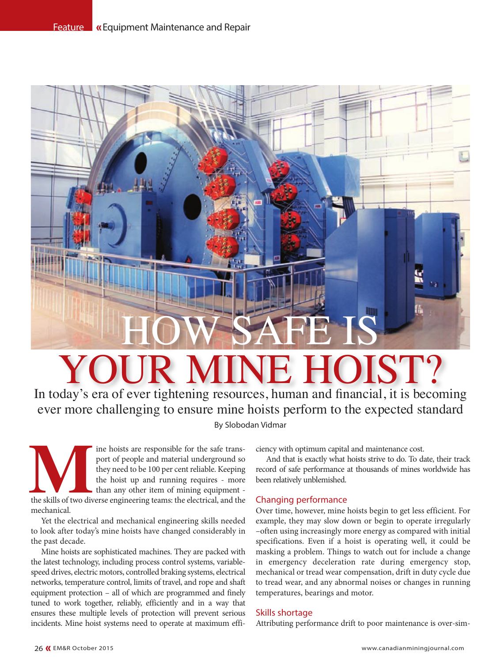

# R MINE HOIST?

In today's era of ever tightening resources, human and financial, it is becoming ever more challenging to ensure mine hoists perform to the expected standard By Slobodan Vidmar

**1990 Maring 1990 Maring 1990 Maring 1990 Maring 1990 Maring 1990 Maring the hoist up and running requires - more the skills of two diverse engineering teams: the electrical, and the hoist up and the skills of two diverse** port of people and material underground so they need to be 100 per cent reliable. Keeping the hoist up and running requires - more than any other item of mining equipment mechanical.

Yet the electrical and mechanical engineering skills needed to look after today's mine hoists have changed considerably in the past decade.

Mine hoists are sophisticated machines. They are packed with the latest technology, including process control systems, variablespeed drives, electric motors, controlled braking systems, electrical networks, temperature control, limits of travel, and rope and shaft equipment protection – all of which are programmed and finely tuned to work together, reliably, efficiently and in a way that ensures these multiple levels of protection will prevent serious incidents. Mine hoist systems need to operate at maximum efficiency with optimum capital and maintenance cost.

And that is exactly what hoists strive to do. To date, their track record of safe performance at thousands of mines worldwide has been relatively unblemished.

# Changing performance

Over time, however, mine hoists begin to get less efficient. For example, they may slow down or begin to operate irregularly –often using increasingly more energy as compared with initial specifications. Even if a hoist is operating well, it could be masking a problem. Things to watch out for include a change in emergency deceleration rate during emergency stop, mechanical or tread wear compensation, drift in duty cycle due to tread wear, and any abnormal noises or changes in running temperatures, bearings and motor.

# Skills shortage

Attributing performance drift to poor maintenance is over-sim-